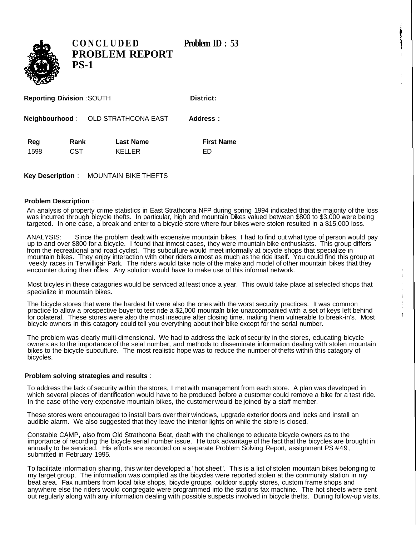**District:** 



**CONCLUDE D Problem ID : 53 PROBLEM REPORT PS-1**

| <b>Reporting Division :SOUTH</b> |  |
|----------------------------------|--|
|                                  |  |

**Neighbourhood** : OLD STRATHCONA EAST **Address :**

| Reg  | Rank | <b>Last Name</b> | <b>First Name</b> |
|------|------|------------------|-------------------|
| 1598 | CST  | <b>KELLER</b>    | FD                |

**Key Description** : MOUNTAIN BIKE THEFTS

## **Problem Description** :

An analysis of property crime statistics in East Strathcona NFP during spring 1994 indicated that the majority of the loss was incurred through bicycle thefts. In particular, high end mountain Dikes valued between \$800 to \$3,000 were being targeted. In one case, a break and enter to a bicycle store where four bikes were stolen resulted in a \$15,000 loss.

ANALYSIS: Since the problem dealt with expensive mountain bikes, I had to find out what type of person would pay up to and over \$800 for a bicycle. I found that inmost cases, they were mountain bike enthusiasts. This group differs from the recreational and road cyclist. This subculture would meet informally at bicycle shops that specialize in mountain bikes. They enjoy interaction with other riders almost as much as the ride itself. You could find this group at veekly races in Terwilligar Park. The riders would take note of the make and model of other mountain bikes that they encounter during their rides. Any solution would have to make use of this informal network.

Most bicyles in these catagories would be serviced at least once a year. This owuld take place at selected shops that specialize in mountain bikes.

The bicycle stores that were the hardest hit were also the ones with the worst security practices. It was common practice to allow a prospective buyer to test ride a \$2,000 mountain bike unaccompanied with a set of keys left behind for colateral. These stores were also the most insecure after closing time, making them vulnerable to break-in's. Most bicycle owners in this catagory could tell you everything about their bike except for the serial number.

The problem was clearly multi-dimensional. We had to address the lack of security in the stores, educating bicycle owners as to the importance of the seial number, and methods to disseminate information dealing with stolen mountain bikes to the bicycle subculture. The most realistic hope was to reduce the number of thefts within this catagory of bicycles.

## **Problem solving strategies and results** :

To address the lack of security within the stores, I met with management from each store. A plan was developed in which several pieces of identification would have to be produced before a customer could remove a bike for a test ride. In the case of the very expensive mountain bikes, the customer would be joined by a staff member.

These stores were encouraged to install bars over their windows, upgrade exterior doors and locks and install an audible alarm. We also suggested that they leave the interior lights on while the store is closed.

Constable CAMP, also from Old Strathcona Beat, dealt with the challenge to educate bicycle owners as to the importance of recording the bicycle serial number issue. He took advantage of the fact that the bicycles are brought in annually to be serviced. His efforts are recorded on a separate Problem Solving Report, assignment PS #49, submitted in February 1995.

To facilitate information sharing, this writer developed a "hot sheet". This is a list of stolen mountain bikes belonging to my target group. The information was compiled as the bicycles were reported stolen at the community station in my beat area. Fax numbers from local bike shops, bicycle groups, outdoor supply stores, custom frame shops and anywhere else the riders would congregate were programmed into the stations fax machine. The hot sheets were sent out regularly along with any information dealing with possible suspects involved in bicycle thefts. During follow-up visits,